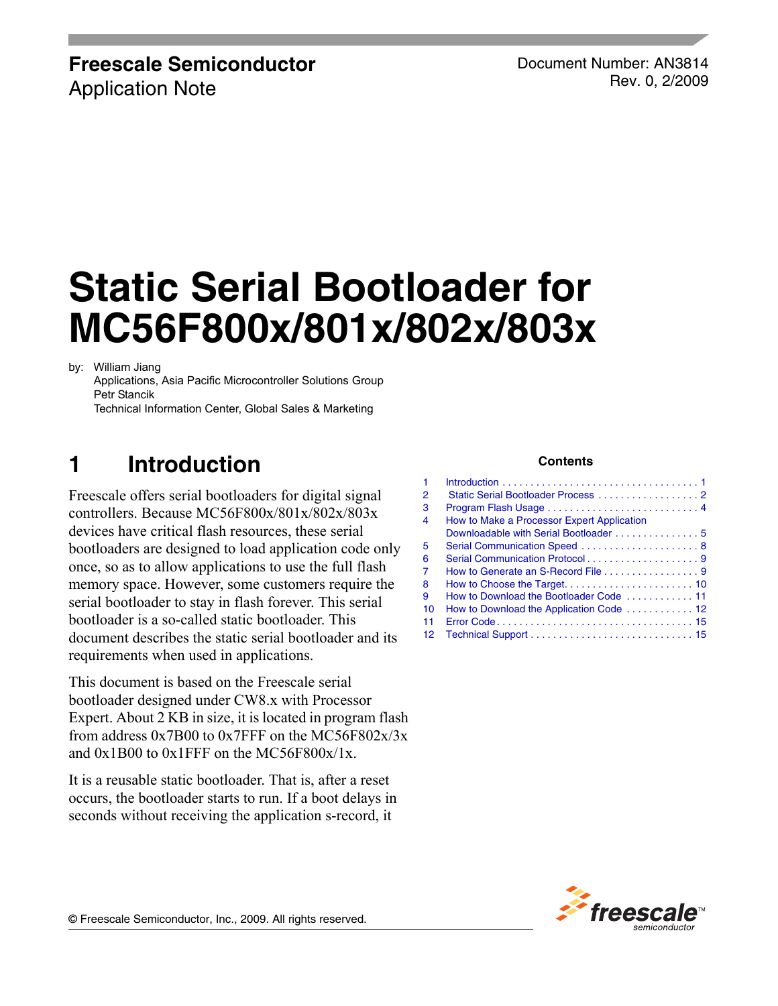# **Freescale Semiconductor**

Document Number: AN3814 Rev. 0, 2/2009

Application Note

# **Static Serial Bootloader for MC56F800x/801x/802x/803x**

by: William Jiang

Applications, Asia Pacific Microcontroller Solutions Group Petr Stancik Technical Information Center, Global Sales & Marketing

# <span id="page-0-0"></span>**1 Introduction**

Freescale offers serial bootloaders for digital signal controllers. Because MC56F800x/801x/802x/803x devices have critical flash resources, these serial bootloaders are designed to load application code only once, so as to allow applications to use the full flash memory space. However, some customers require the serial bootloader to stay in flash forever. This serial bootloader is a so-called static bootloader. This document describes the static serial bootloader and its requirements when used in applications.

This document is based on the Freescale serial bootloader designed under CW8.x with Processor Expert. About 2 KB in size, it is located in program flash from address  $0x7B00$  to  $0x7FFF$  on the MC56F802 $x/3x$ and  $0x1B00$  to  $0x1FFF$  on the MC56F800 $x/1x$ .

It is a reusable static bootloader. That is, after a reset occurs, the bootloader starts to run. If a boot delays in seconds without receiving the application s-record, it

### **Contents**

| 1  |                                            |
|----|--------------------------------------------|
| 2  |                                            |
| з  |                                            |
| 4  | How to Make a Processor Expert Application |
|    |                                            |
| 5  |                                            |
| 6  | Serial Communication Protocol9             |
| 7  | How to Generate an S-Record File 9         |
| 8  |                                            |
| 9  | How to Download the Bootloader Code  11    |
| 10 | How to Download the Application Code  12   |
| 11 |                                            |
| 12 |                                            |



© Freescale Semiconductor, Inc., 2009. All rights reserved.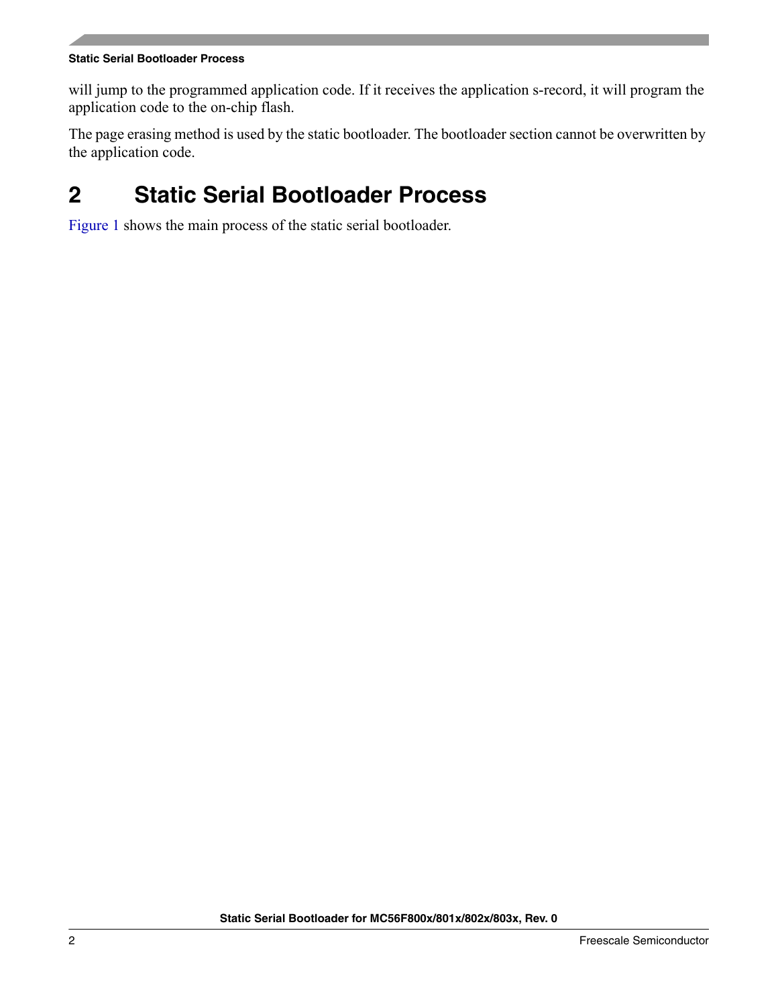### **Static Serial Bootloader Process**

will jump to the programmed application code. If it receives the application s-record, it will program the application code to the on-chip flash.

The page erasing method is used by the static bootloader. The bootloader section cannot be overwritten by the application code.

# <span id="page-1-0"></span>**2 Static Serial Bootloader Process**

[Figure 1](#page-2-0) shows the main process of the static serial bootloader.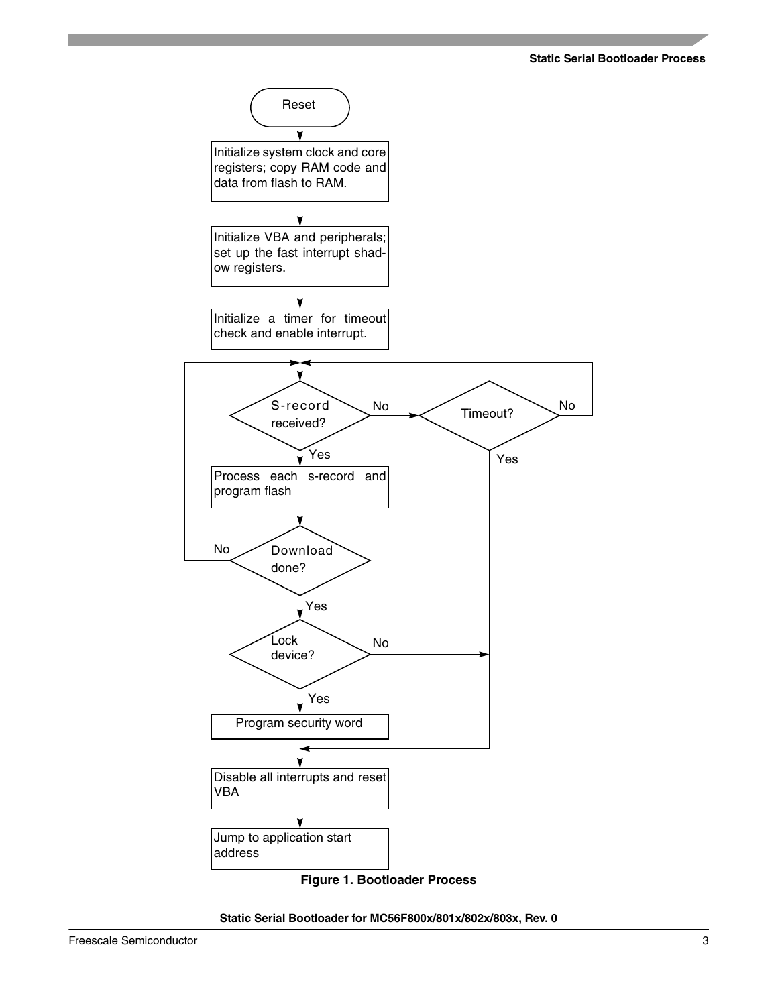

<span id="page-2-0"></span>**Figure 1. Bootloader Process**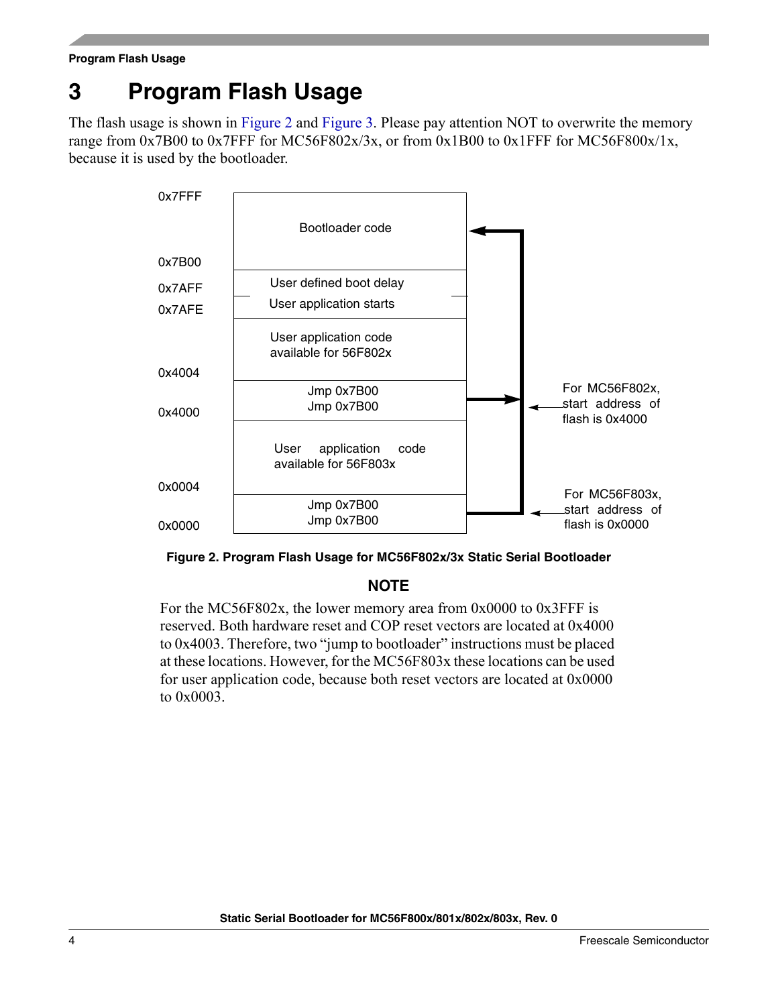**Program Flash Usage**

# <span id="page-3-0"></span>**3 Program Flash Usage**

The flash usage is shown in [Figure 2](#page-3-1) and [Figure 3.](#page-4-1) Please pay attention NOT to overwrite the memory range from  $0x7B00$  to  $0x7FFF$  for MC56F802x/3x, or from  $0x1B00$  to  $0x1FFF$  for MC56F800x/1x, because it is used by the bootloader.



<span id="page-3-1"></span>**Figure 2. Program Flash Usage for MC56F802x/3x Static Serial Bootloader**

### **NOTE**

For the MC56F802x, the lower memory area from 0x0000 to 0x3FFF is reserved. Both hardware reset and COP reset vectors are located at 0x4000 to 0x4003. Therefore, two "jump to bootloader" instructions must be placed at these locations. However, for the MC56F803x these locations can be used for user application code, because both reset vectors are located at 0x0000 to 0x0003.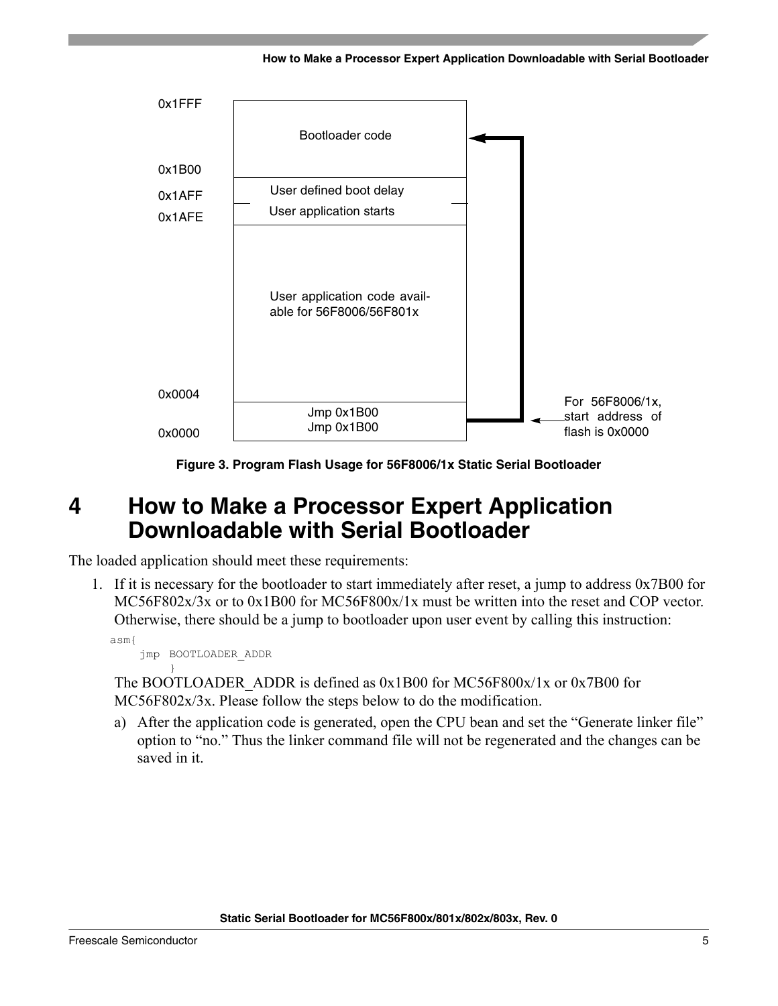

**Figure 3. Program Flash Usage for 56F8006/1x Static Serial Bootloader**

## <span id="page-4-1"></span><span id="page-4-0"></span>**4 How to Make a Processor Expert Application Downloadable with Serial Bootloader**

The loaded application should meet these requirements:

1. If it is necessary for the bootloader to start immediately after reset, a jump to address 0x7B00 for MC56F802x/3x or to 0x1B00 for MC56F800x/1x must be written into the reset and COP vector. Otherwise, there should be a jump to bootloader upon user event by calling this instruction:

```
asm{
```

```
jmp BOOTLOADER_ADDR
```
} The BOOTLOADER ADDR is defined as 0x1B00 for MC56F800x/1x or 0x7B00 for MC56F802x/3x. Please follow the steps below to do the modification.

a) After the application code is generated, open the CPU bean and set the "Generate linker file" option to "no." Thus the linker command file will not be regenerated and the changes can be saved in it.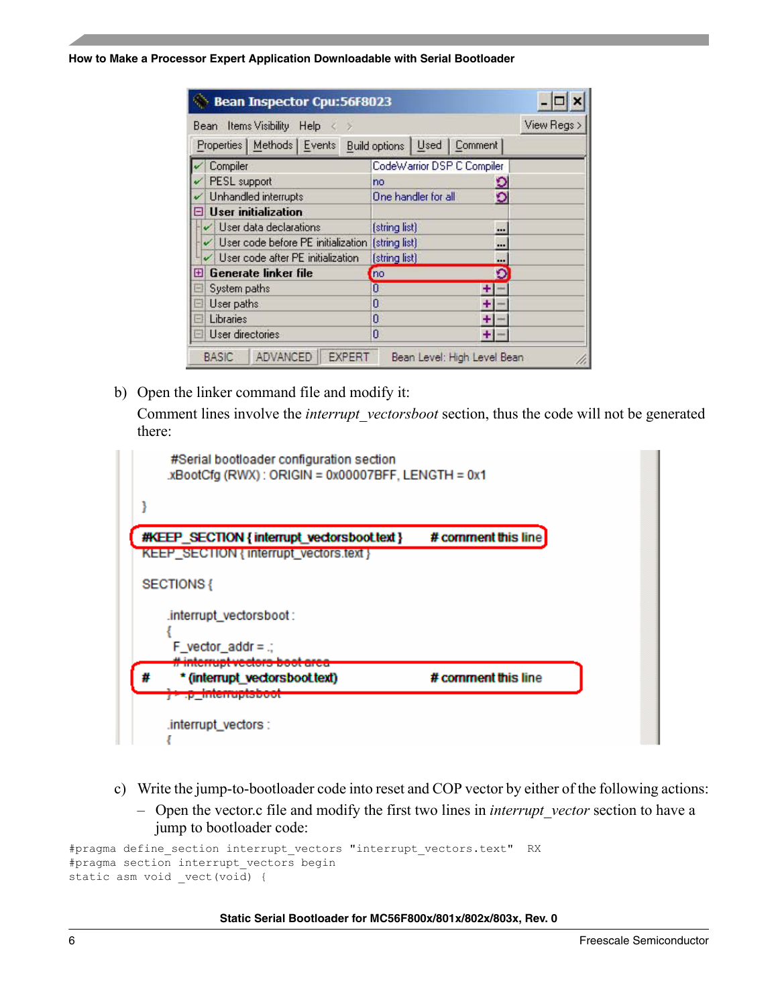### **How to Make a Processor Expert Application Downloadable with Serial Bootloader**

| Bean Items Visibility Help < >                   |                                 | View Regs > |
|--------------------------------------------------|---------------------------------|-------------|
| Properties   Methods   Events                    | Used   Comment<br>Build options |             |
| Compiler                                         | CodeWarrior DSP C Compiler      |             |
| PESL support                                     | no                              |             |
| Unhandled interrupts                             | ö<br>One handler for all        |             |
| <b>User initialization</b><br>ΞL                 |                                 |             |
| $\checkmark$ User data declarations              | (string list)<br>               |             |
| User code before PE initialization [string list] |                                 |             |
| $\checkmark$ User code after PE initialization   | (string list)<br>               |             |
| Generate linker file<br>$\ddot{}$                | О<br>no                         |             |
| System paths<br>e                                | ū<br>÷                          |             |
| User paths<br>۳                                  | Ω<br>٠                          |             |
| Libraries<br>щ                                   | 0<br>٠                          |             |
| User directories                                 | ū                               |             |

b) Open the linker command file and modify it:

Comment lines involve the *interrupt\_vectorsboot* section, thus the code will not be generated there:



- c) Write the jump-to-bootloader code into reset and COP vector by either of the following actions:
	- Open the vector.c file and modify the first two lines in *interrupt\_vector* section to have a jump to bootloader code:

```
#pragma define section interrupt vectors "interrupt vectors.text" RX
#pragma section interrupt_vectors begin
static asm void _vect(void) {
```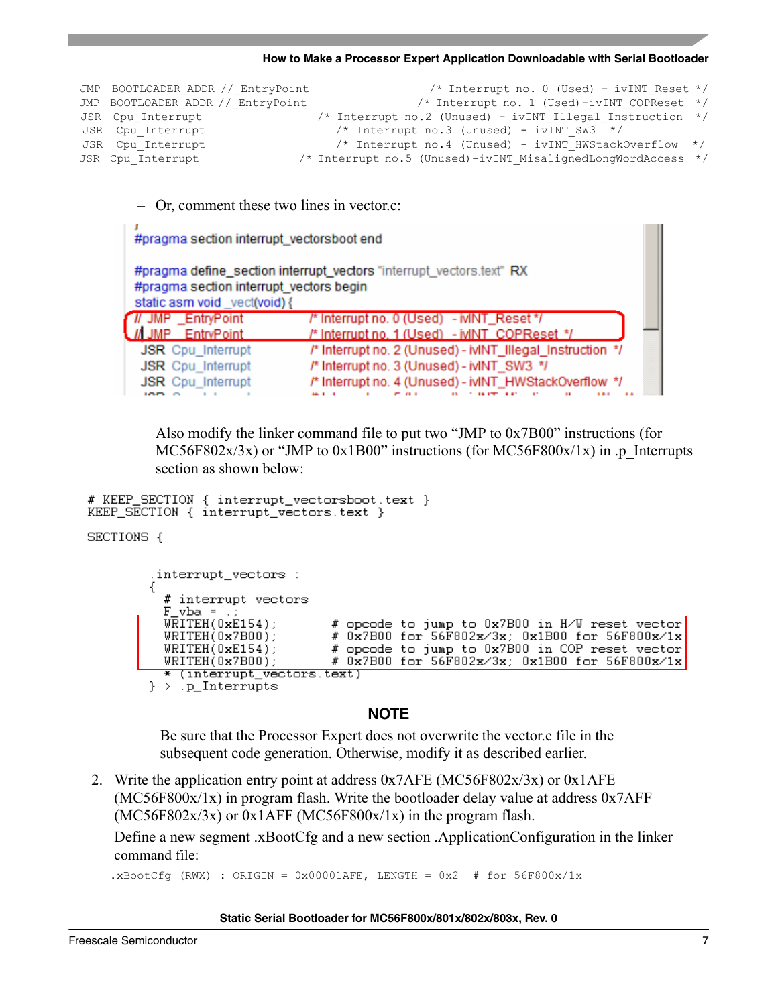**How to Make a Processor Expert Application Downloadable with Serial Bootloader**

```
JMP BOOTLOADER ADDR // EntryPoint /* Interrupt no. 0 (Used) - ivINT Reset */
JMP BOOTLOADER ADDR // EntryPoint /* Interrupt no. 1 (Used)-ivINT COPReset */
JSR Cpu Interrupt /* Interrupt no.2 (Unused) - ivINT Illegal Instruction */
JSR Cpu Interrupt \frac{1}{2} /* Interrupt no.3 (Unused) - ivINT SW3 */
JSR Cpu Interrupt /* Interrupt no.4 (Unused) - ivINT HWStackOverflow */
JSR Cpu Interrupt \rightarrow /* Interrupt no.5 (Unused)-ivINT MisalignedLongWordAccess */
```
– Or, comment these two lines in vector.c:

| #pragma section interrupt_vectorsboot end                                                                                                       |                                                            |  |  |  |  |
|-------------------------------------------------------------------------------------------------------------------------------------------------|------------------------------------------------------------|--|--|--|--|
| #pragma define_section interrupt_vectors "interrupt_vectors.text" RX<br>#pragma section interrupt_vectors begin<br>static asm void_vect(void) { |                                                            |  |  |  |  |
| // JMP EntryPoint                                                                                                                               | /* Interrupt no. 0 (Used) - ivINT_Reset */                 |  |  |  |  |
| <b>II JMP</b> EntryPoint                                                                                                                        | /* Interrupt no. 1 (Used) - ivINT COPReset */              |  |  |  |  |
| <b>JSR</b> Cpu Interrupt                                                                                                                        | /* Interrupt no. 2 (Unused) - ivlNT_Illegal_Instruction */ |  |  |  |  |
| <b>JSR</b> Cpu Interrupt                                                                                                                        | /* Interrupt no. 3 (Unused) - ivINT_SW3_*/                 |  |  |  |  |
| <b>JSR</b> Cpu Interrupt                                                                                                                        | /* Interrupt no. 4 (Unused) - ivINT_HWStackOverflow */     |  |  |  |  |
|                                                                                                                                                 |                                                            |  |  |  |  |

Also modify the linker command file to put two "JMP to 0x7B00" instructions (for MC56F802x/3x) or "JMP to 0x1B00" instructions (for MC56F800x/1x) in .p\_Interrupts section as shown below:

```
# KEEP_SECTION { interrupt_vectorsboot.text }
KEEP SECTION { interrupt_vectors.text }
```
SECTIONS {

```
interrupt_vectors :
ł
 # interrupt vectors
  F vha =
  \overline{\text{WRTEH}}(0 \times 154):
                           opcode to jump to 0x7B00 in H/W reset vector
                          #
 WRITEH(0x7B00);# 0x7B00 for 56F802x/3x; 0x1B00 for 56F800x/1x
 WRITEH(0xE154);# opcode to jump to 0x7B00 in COP reset vector
                         # 0x7B00 for 56F802x/3x; 0x1B00 for 56F800x/1x
 WRITEH(0x7B00);* (interrupt_vectors.text)
```
### $\}$  > .p\_Interrupts

### **NOTE**

Be sure that the Processor Expert does not overwrite the vector.c file in the subsequent code generation. Otherwise, modify it as described earlier.

2. Write the application entry point at address 0x7AFE (MC56F802x/3x) or 0x1AFE  $(MC56F800x/1x)$  in program flash. Write the bootloader delay value at address 0x7AFF  $(MC56F802x/3x)$  or  $0x1AFF (MC56F800x/1x)$  in the program flash.

Define a new segment .xBootCfg and a new section .ApplicationConfiguration in the linker command file:

.xBootCfg (RWX) : ORIGIN =  $0 \times 00001$ AFE, LENGTH =  $0 \times 2$  # for  $56F800 \times /1 \times$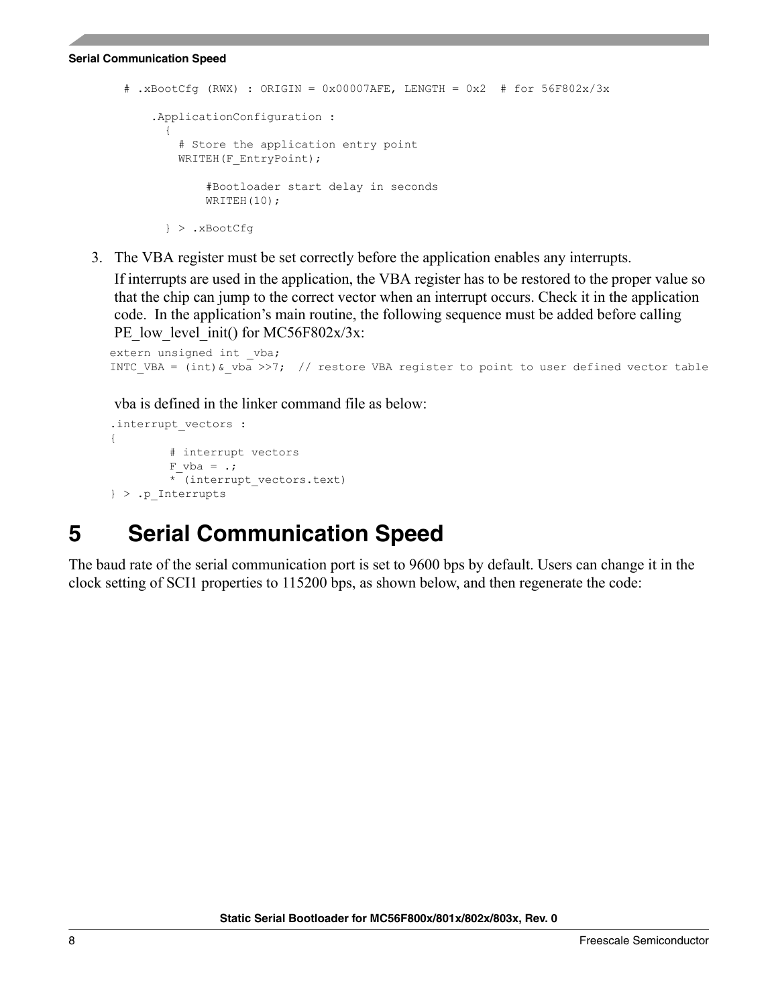### **Serial Communication Speed**

```
# .xBootCfg (RWX) : ORIGIN = 0 \times 00007AFE, LENGTH = 0 \times 2 # for 56F802x/3x .ApplicationConfiguration :
\{ # Store the application entry point
          WRITEH(F_EntryPoint);
               #Bootloader start delay in seconds
              WRITEH(10);
         } > .xBootCfg
```
3. The VBA register must be set correctly before the application enables any interrupts.

If interrupts are used in the application, the VBA register has to be restored to the proper value so that the chip can jump to the correct vector when an interrupt occurs. Check it in the application code. In the application's main routine, the following sequence must be added before calling PE low level init() for MC56F802x/3x:

```
extern unsigned int vba;
INTC VBA = (int) & vba >>7; // restore VBA register to point to user defined vector table
```
vba is defined in the linker command file as below:

```
.interrupt vectors :
{
         # interrupt vectors
         F vba = \cdot;
         * (interrupt_vectors.text)
} > .p_Interrupts
```
# <span id="page-7-0"></span>**5 Serial Communication Speed**

The baud rate of the serial communication port is set to 9600 bps by default. Users can change it in the clock setting of SCI1 properties to 115200 bps, as shown below, and then regenerate the code: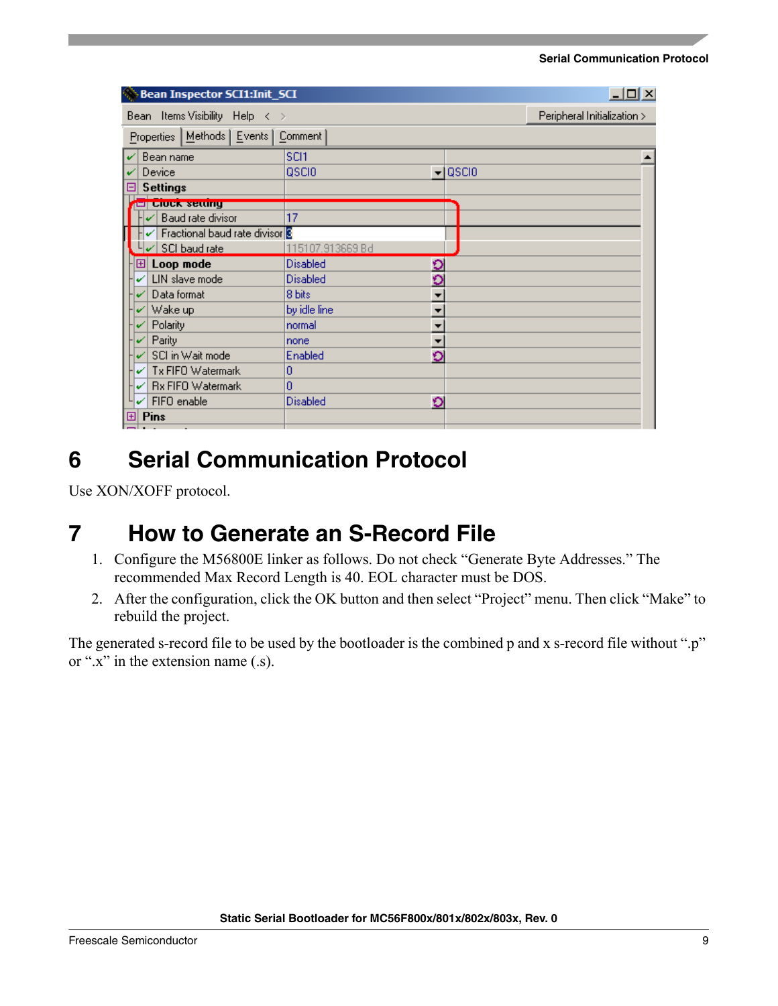|   | -  미 ×<br>Bean Inspector SCI1:Init_SCI                                      |                      |                               |  |  |
|---|-----------------------------------------------------------------------------|----------------------|-------------------------------|--|--|
|   | Bean Items Visibility Help $\langle \rangle$<br>Peripheral Initialization > |                      |                               |  |  |
|   | Properties   Methods   Events   Comment                                     |                      |                               |  |  |
|   | Bean name                                                                   | SCI1                 |                               |  |  |
|   | Device                                                                      | QSCIO                | $\overline{\mathbf{v}}$ gscio |  |  |
| ⊟ | <b>Settings</b>                                                             |                      |                               |  |  |
|   | <b>Let Cluck setting</b>                                                    |                      |                               |  |  |
|   | Baud rate divisor                                                           | 17                   |                               |  |  |
|   | Fractional baud rate divisor                                                |                      |                               |  |  |
|   | $\sqrt{ }$ SCI baud rate                                                    | 115107.913669 Bd     |                               |  |  |
|   | $\boxplus$ Loop mode                                                        | O<br>Disabled        |                               |  |  |
|   | LIN slave mode<br>✓                                                         | ō<br><b>Disabled</b> |                               |  |  |
|   | Data format<br>✓                                                            | 8 bits               |                               |  |  |
|   | Wake up<br>✓                                                                | by idle line         |                               |  |  |
|   | Polarity                                                                    | normal               |                               |  |  |
|   | Parity<br>$\mathbf{v}'$                                                     | none<br>▼            |                               |  |  |
|   | SCI in Wait mode<br>✓                                                       | Ó<br>Enabled         |                               |  |  |
|   | Tx FIFO Watermark<br>✓                                                      | 0                    |                               |  |  |
|   | <b>Rx FIFO Watermark</b><br>$\mathbf{v}$                                    | Ō                    |                               |  |  |
|   | FIFO enable                                                                 | O<br>Disabled        |                               |  |  |
| 田 | <b>Pins</b>                                                                 |                      |                               |  |  |
|   |                                                                             |                      |                               |  |  |

# <span id="page-8-0"></span>**6 Serial Communication Protocol**

Use XON/XOFF protocol.

# <span id="page-8-1"></span>**7 How to Generate an S-Record File**

- 1. Configure the M56800E linker as follows. Do not check "Generate Byte Addresses." The recommended Max Record Length is 40. EOL character must be DOS.
- 2. After the configuration, click the OK button and then select "Project" menu. Then click "Make" to rebuild the project.

The generated s-record file to be used by the bootloader is the combined p and x s-record file without ".p" or ".x" in the extension name (.s).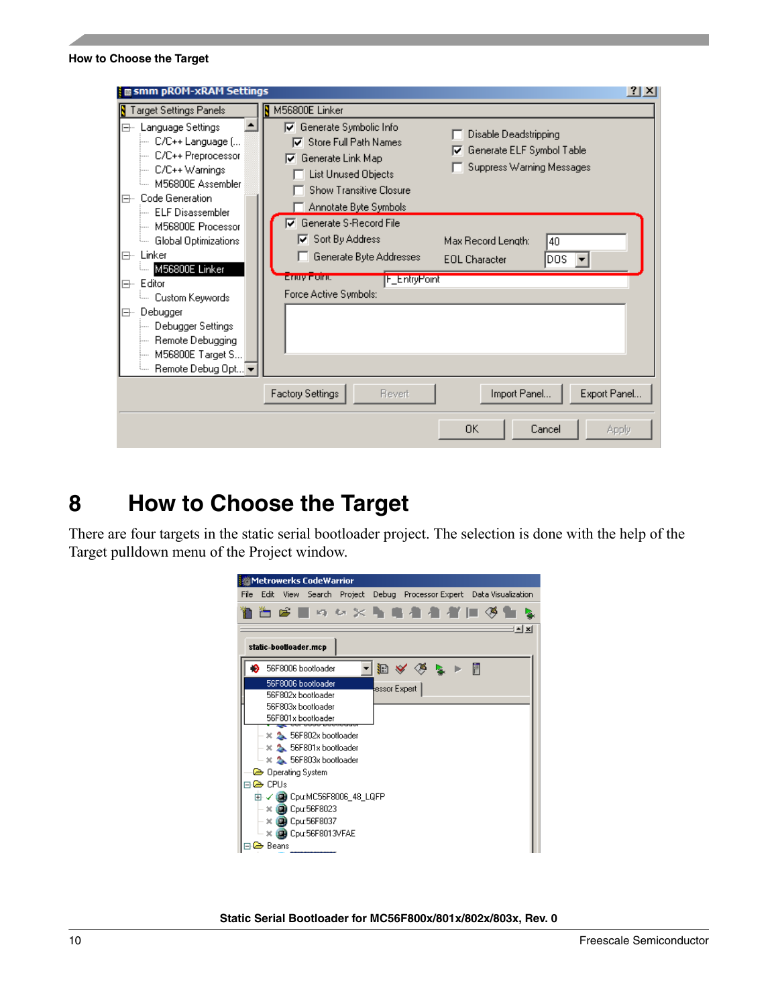### **How to Choose the Target**

| <b>B</b> smm pROM-xRAM Settings                                                                                                                                                                                                                                                                                                                                                                                                                               |                                                                                                                                                                                                                                                                                                                                         |                                                                                                                                            | ? X |
|---------------------------------------------------------------------------------------------------------------------------------------------------------------------------------------------------------------------------------------------------------------------------------------------------------------------------------------------------------------------------------------------------------------------------------------------------------------|-----------------------------------------------------------------------------------------------------------------------------------------------------------------------------------------------------------------------------------------------------------------------------------------------------------------------------------------|--------------------------------------------------------------------------------------------------------------------------------------------|-----|
| Target Settings Panels<br>Language Settings<br>日…<br>---- C/C++ Language (<br>- C/C++ Preprocessor<br>⊱– C/C++ Warnings<br><sup>ఓ…</sup> M56800E Assembler<br>日… Code Generation<br>⊱ ELF Disassembler<br>M56800E Processor<br><u>:</u><br>Global Optimizations<br>1.<br>Linker<br>⊟…<br>M56800E Linker<br>Editor<br>日…<br>└└─ Custom Keywords.<br>Debugger<br>⊟…<br>Debugger Settings<br>3.<br>⊱ Remote Debugging<br>M56800E Target S<br>் Remote Debug Opt… | M56800E Linker<br>Generate Symbolic Info<br>Store Full Path Names<br>⊽<br><b>▽</b> Generate Link Map<br>List Unused Objects<br>Show Transitive Closure<br>Annotate Byte Symbols<br>Generate S-Record File<br>⊽<br>$\nabla$ Sort By Address<br>Generate Byte Addresses<br><b>ETRIV FUITIL</b><br>[F_EntryPoint]<br>Force Active Symbols: | Disable Deadstripping<br>Generate ELF Symbol Table<br>Suppress Warning Messages<br>Max Record Length:<br>40<br>DOS<br><b>EOL</b> Character |     |
|                                                                                                                                                                                                                                                                                                                                                                                                                                                               | <b>Factory Settings</b><br>Revert                                                                                                                                                                                                                                                                                                       | Import Panel<br>Export Panel                                                                                                               |     |
|                                                                                                                                                                                                                                                                                                                                                                                                                                                               |                                                                                                                                                                                                                                                                                                                                         | 0K.<br>Cancel<br>Apply                                                                                                                     |     |

### <span id="page-9-0"></span>**8 How to Choose the Target**

There are four targets in the static serial bootloader project. The selection is done with the help of the Target pulldown menu of the Project window.

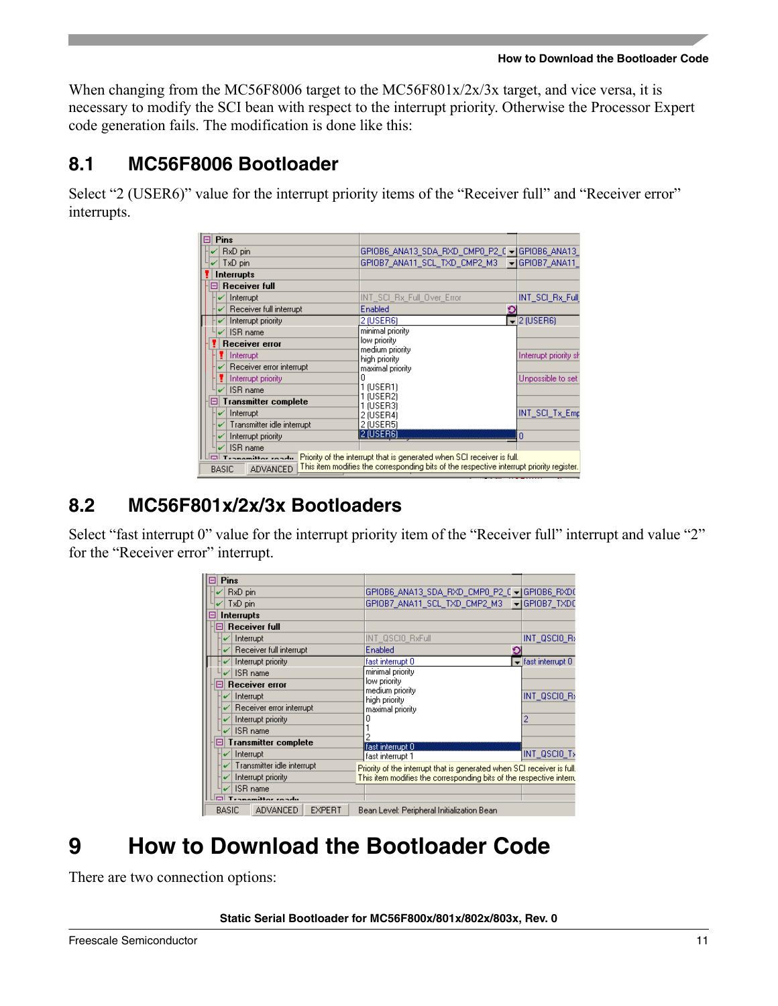When changing from the MC56F8006 target to the MC56F801x/2x/3x target, and vice versa, it is necessary to modify the SCI bean with respect to the interrupt priority. Otherwise the Processor Expert code generation fails. The modification is done like this:

### **8.1 MC56F8006 Bootloader**

Select "2 (USER6)" value for the interrupt priority items of the "Receiver full" and "Receiver error" interrupts.

| <b>Pins</b>                                                                                                          |                                                |                                   |  |
|----------------------------------------------------------------------------------------------------------------------|------------------------------------------------|-----------------------------------|--|
| RxD pin                                                                                                              | GPIOB6_ANA13_SDA_RXD_CMP0_P2_C - GPIOB6_ANA13_ |                                   |  |
| TxD pin                                                                                                              | GPIOB7 ANA11 SCL TXD CMP2 M3 - GPIOB7 ANA11    |                                   |  |
| <b>Interrupts</b>                                                                                                    |                                                |                                   |  |
| <b>Receiver full</b>                                                                                                 |                                                |                                   |  |
| Interrupt<br>v                                                                                                       | INT_SCI_Rx_Full_Over_Error                     | INT_SCI_Rx_Full                   |  |
| Receiver full interrupt                                                                                              | Enabled                                        |                                   |  |
| Interrupt priority                                                                                                   | 2 (USER6)                                      | $\overline{\mathbf{v}}$ 2 (USER6) |  |
| ISR name                                                                                                             | minimal priority                               |                                   |  |
| Receiver error                                                                                                       | low priority                                   |                                   |  |
| Interrupt                                                                                                            | medium priority<br>high priority               | Interrupt priority sh             |  |
| Receiver error interrupt                                                                                             | maximal priority                               |                                   |  |
| Interrupt priority<br>Ţ                                                                                              |                                                | Unpossible to set                 |  |
| ISB name                                                                                                             | 1 (USER1)                                      |                                   |  |
| Transmitter complete                                                                                                 | 1 (USER2)<br>1 (USER3)                         |                                   |  |
| Interrupt                                                                                                            | 2 (USER4)                                      | INT_SCI_Tx_Emp                    |  |
| Transmitter idle interrupt<br>✓                                                                                      | 2 (USER5)                                      |                                   |  |
| Interrupt priority                                                                                                   | 2 (USER6)                                      | 0                                 |  |
| ISR name                                                                                                             |                                                |                                   |  |
| <b>Expansition residue.</b> Priority of the interrupt that is generated when SCI receiver is full.                   |                                                |                                   |  |
| This item modifies the corresponding bits of the respective interrupt priority register.<br>ADVANCED<br><b>BASIC</b> |                                                |                                   |  |

### **8.2 MC56F801x/2x/3x Bootloaders**

Select "fast interrupt 0" value for the interrupt priority item of the "Receiver full" interrupt and value "2" for the "Receiver error" interrupt.

| ⊟⊟Pins       |                                        |                                                                        |                                         |
|--------------|----------------------------------------|------------------------------------------------------------------------|-----------------------------------------|
|              | RxD pin                                | GPIOB6_ANA13_SDA_RXD_CMP0_P2_C - GPIOB6_RXDC                           |                                         |
|              | TxD pin                                | GPIOB7 ANA11 SCL TXD CMP2 M3                                           | GPIOB7 TXDC                             |
|              | Interrupts                             |                                                                        |                                         |
|              | $\boxminus$ Receiver full              |                                                                        |                                         |
|              | $\mathbf{v}$ Interrupt                 | INT_QSCIO_RxFull                                                       | INT_QSCIO_R)                            |
|              | Receiver full interrupt                | Enabled                                                                |                                         |
|              | Interrupt priority                     | fast interrupt 0                                                       | $\sqrt{\phantom{a}}$ fast interrupt $0$ |
|              | ISR name                               | minimal priority                                                       |                                         |
| Ξ            | Receiver error                         | low priority<br>medium priority                                        |                                         |
| v            | Interrupt                              | high priority                                                          | INT QSCIO R)                            |
|              | $\mathcal{L}$ Receiver error interrupt | maximal priority                                                       |                                         |
| v            | Interrupt priority                     |                                                                        | 2                                       |
|              | ISR name                               |                                                                        |                                         |
| Ξ            | <b>Transmitter complete</b>            | fast interrupt 0                                                       |                                         |
| ✓            | Interrupt                              | fast interrupt 1                                                       | INT QSCIO Tx                            |
|              | $\sim$ Transmitter idle interrupt      | Priority of the interrupt that is generated when SCI receiver is full. |                                         |
| v            | Interrupt priority                     | This item modifies the corresponding bits of the respective interru    |                                         |
|              | ISR name                               |                                                                        |                                         |
|              | ranamittar raadu                       |                                                                        |                                         |
| <b>BASIC</b> | <b>EXPERT</b><br><b>ADVANCED</b>       | Bean Level: Peripheral Initialization Bean                             |                                         |

# <span id="page-10-0"></span>**9 How to Download the Bootloader Code**

There are two connection options: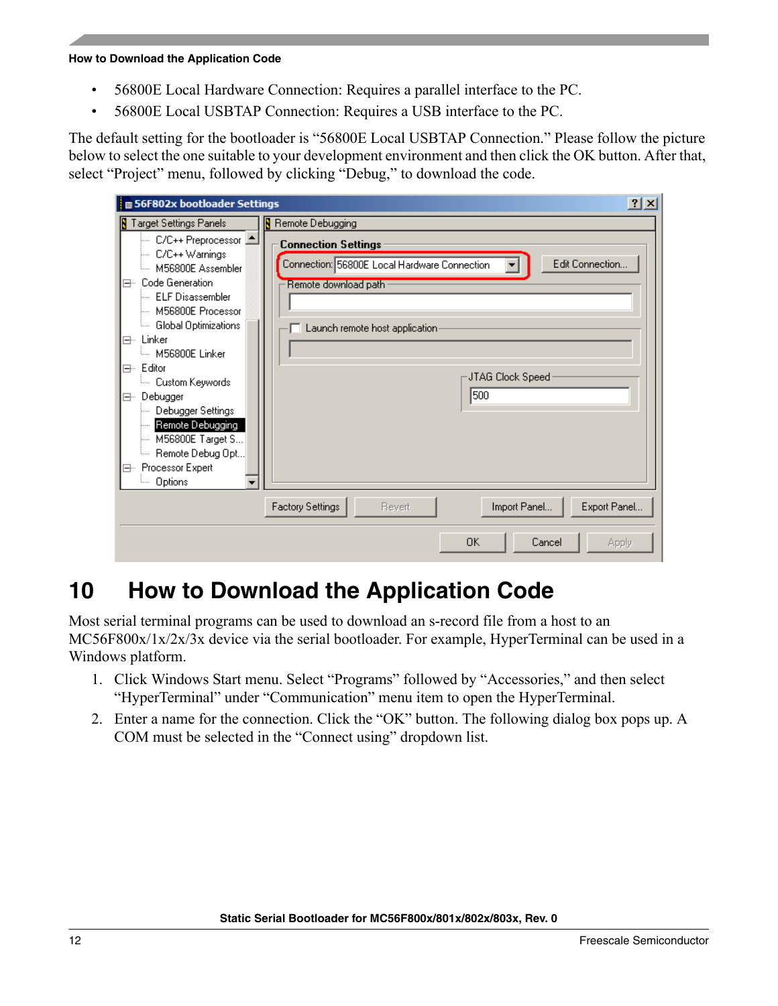### **How to Download the Application Code**

- 56800E Local Hardware Connection: Requires a parallel interface to the PC.
- 56800E Local USBTAP Connection: Requires a USB interface to the PC.

The default setting for the bootloader is "56800E Local USBTAP Connection." Please follow the picture below to select the one suitable to your development environment and then click the OK button. After that, select "Project" menu, followed by clicking "Debug," to download the code.

| $2 \times$<br>56F802x bootloader Settings                                                                                                                                                                                                                                                                                                                                                                                                 |                                                                                                                                                                                                                 |  |  |
|-------------------------------------------------------------------------------------------------------------------------------------------------------------------------------------------------------------------------------------------------------------------------------------------------------------------------------------------------------------------------------------------------------------------------------------------|-----------------------------------------------------------------------------------------------------------------------------------------------------------------------------------------------------------------|--|--|
| Farget Settings Panels<br>$\blacktriangle$<br>C/C++ Preprocessor<br>⊱ C/C++ Warnings<br>ं M56800E Assembler<br>Code Generation<br>⊟…<br>⊱ ELF Disassembler<br>M56800E Processor<br>j<br>Global Optimizations<br>i<br>Linker<br>日…<br>≒∞ M56800E Linker<br>l⊟… Editor<br>└─ Custom Keywords<br>Debugger<br><b>日</b> …<br>Debugger Settings<br>Remote Debugging<br>5.<br>M56800E Target S<br>5.<br>் Remote Debug Opt<br>日 Processor Expert | <b>R</b> Remote Debugging<br><b>Connection Settings</b><br>Connection: 56800E Local Hardware Connection<br>Edit Connection<br>Remote download path<br>Launch remote host application<br>JTAG Clock Speed<br>500 |  |  |
| └─ Options                                                                                                                                                                                                                                                                                                                                                                                                                                | <b>Factory Settings</b><br>Import Panel<br>Export Panel<br>Revert                                                                                                                                               |  |  |
|                                                                                                                                                                                                                                                                                                                                                                                                                                           | 0K<br>Cancel<br>Apply                                                                                                                                                                                           |  |  |

# <span id="page-11-0"></span>**10 How to Download the Application Code**

Most serial terminal programs can be used to download an s-record file from a host to an MC56F800x/1x/2x/3x device via the serial bootloader. For example, HyperTerminal can be used in a Windows platform.

- 1. Click Windows Start menu. Select "Programs" followed by "Accessories," and then select "HyperTerminal" under "Communication" menu item to open the HyperTerminal.
- 2. Enter a name for the connection. Click the "OK" button. The following dialog box pops up. A COM must be selected in the "Connect using" dropdown list.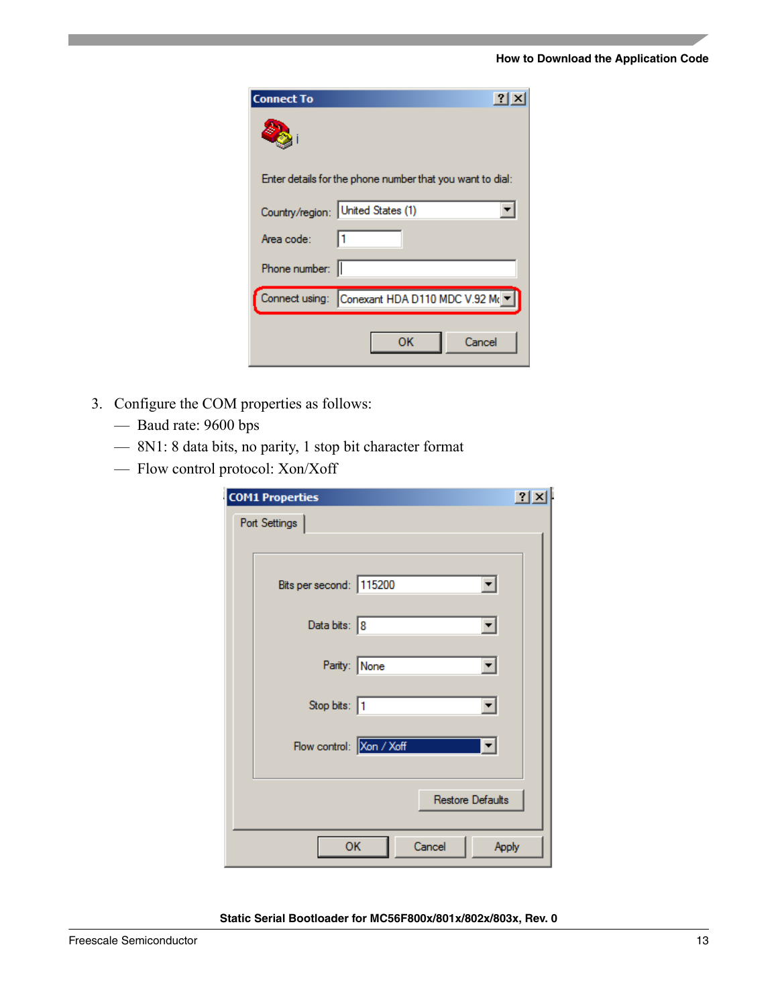| Connect To                        |                                                           |
|-----------------------------------|-----------------------------------------------------------|
|                                   |                                                           |
|                                   | Enter details for the phone number that you want to dial: |
| Country/region: United States (1) |                                                           |
| Area code:                        |                                                           |
| Phone number:                     |                                                           |
|                                   | Connect using: Conexant HDA D110 MDC V.92 Mo              |
|                                   | ок<br>Cancel                                              |

- 3. Configure the COM properties as follows:
	- Baud rate: 9600 bps
	- 8N1: 8 data bits, no parity, 1 stop bit character format
	- Flow control protocol: Xon/Xoff

| <b>COM1 Properties</b>       | 2x |
|------------------------------|----|
| Port Settings                |    |
|                              |    |
| Bits per second: 115200<br>▼ |    |
| Data bits: 8                 |    |
| Parity: None                 |    |
| Stop bits: 1<br>▼            |    |
| Flow control: Xon / Xoff     |    |
| <b>Restore Defaults</b>      |    |
| Cancel<br>OK<br>Apply        |    |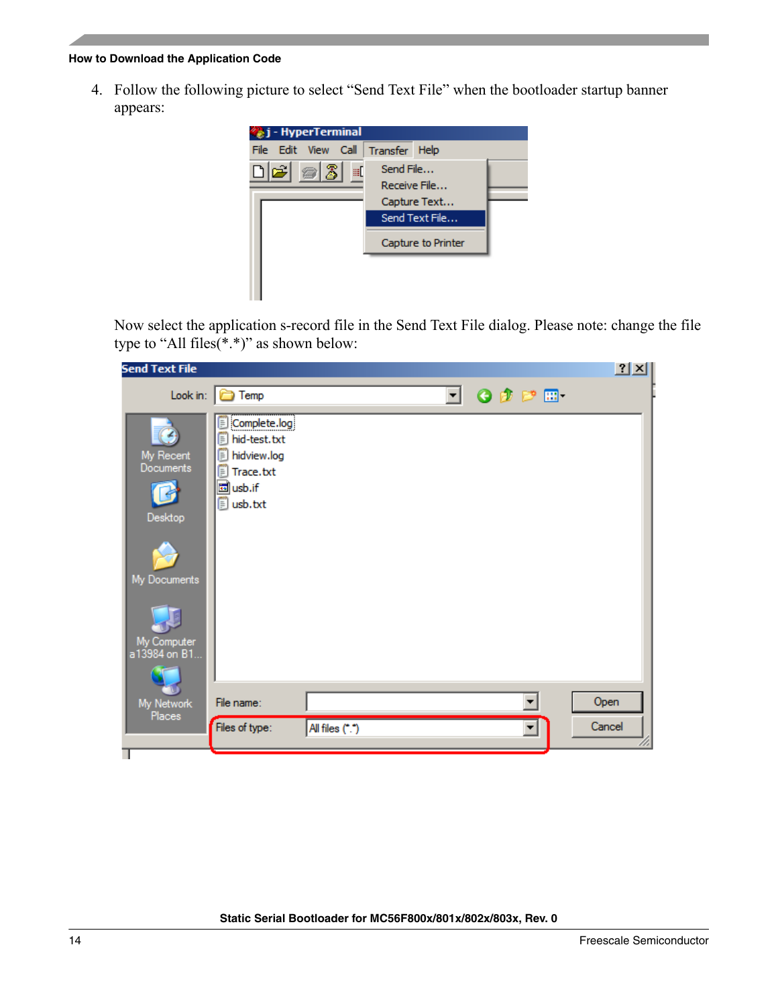### **How to Download the Application Code**

4. Follow the following picture to select "Send Text File" when the bootloader startup banner appears:



Now select the application s-record file in the Send Text File dialog. Please note: change the file type to "All files(\*.\*)" as shown below:

| <b>Send Text File</b>                                                             |                                                                                                |                 |  |                      | $\frac{2}{3}$ |
|-----------------------------------------------------------------------------------|------------------------------------------------------------------------------------------------|-----------------|--|----------------------|---------------|
|                                                                                   | Look in: <b>C</b> Temp                                                                         |                 |  | ⊡ ⊙∂ p ⊞·            |               |
| My Recent<br>Documents<br>Desktop<br>My Documents<br>My Computer<br>a 13984 on B1 | Complete.log<br>hid-test.txt<br>hidview.log<br>Trace.txt<br><b>b</b> usb.if<br><b>Dusb.txt</b> |                 |  |                      |               |
|                                                                                   |                                                                                                |                 |  |                      |               |
| My Network<br>Places                                                              | File name:                                                                                     |                 |  |                      | Open          |
|                                                                                   | Files of type:                                                                                 | All files (*.*) |  | $\blacktriangledown$ | Cancel        |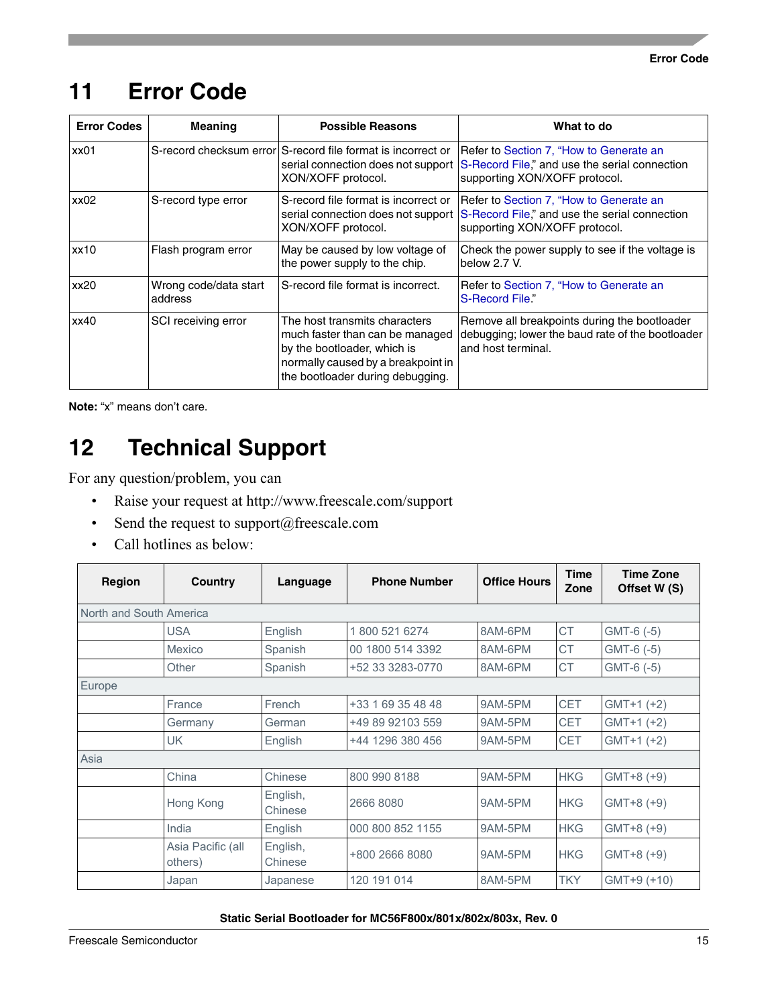# <span id="page-14-0"></span>**11 Error Code**

| <b>Error Codes</b> | Meaning                          | <b>Possible Reasons</b>                                                                                                                                                   | What to do                                                                                                                                                     |
|--------------------|----------------------------------|---------------------------------------------------------------------------------------------------------------------------------------------------------------------------|----------------------------------------------------------------------------------------------------------------------------------------------------------------|
| xx01               |                                  | S-record checksum error S-record file format is incorrect or<br>XON/XOFF protocol.                                                                                        | Refer to Section 7, "How to Generate an<br>serial connection does not support   S-Record File," and use the serial connection<br>supporting XON/XOFF protocol. |
| xx02               | S-record type error              | S-record file format is incorrect or<br>XON/XOFF protocol.                                                                                                                | Refer to Section 7, "How to Generate an<br>serial connection does not support   S-Record File," and use the serial connection<br>supporting XON/XOFF protocol. |
| $x \times 10$      | Flash program error              | May be caused by low voltage of<br>the power supply to the chip.                                                                                                          | Check the power supply to see if the voltage is<br>below 2.7 V.                                                                                                |
| xx20               | Wrong code/data start<br>address | S-record file format is incorrect.                                                                                                                                        | Refer to Section 7, "How to Generate an<br>S-Record File."                                                                                                     |
| xx40               | SCI receiving error              | The host transmits characters<br>much faster than can be managed<br>by the bootloader, which is<br>normally caused by a breakpoint in<br>the bootloader during debugging. | Remove all breakpoints during the bootloader<br>debugging; lower the baud rate of the bootloader<br>and host terminal.                                         |

**Note:** "x" means don't care.

# <span id="page-14-1"></span>**12 Technical Support**

For any question/problem, you can

- Raise your request at http://www.freescale.com/support
- Send the request to support@freescale.com
- Call hotlines as below:

| Region                  | Country                      | Language            | <b>Phone Number</b> | <b>Office Hours</b> | <b>Time</b><br>Zone | <b>Time Zone</b><br>Offset W (S) |
|-------------------------|------------------------------|---------------------|---------------------|---------------------|---------------------|----------------------------------|
| North and South America |                              |                     |                     |                     |                     |                                  |
|                         | <b>USA</b>                   | English             | 1800 521 6274       | 8AM-6PM             | <b>CT</b>           | GMT-6 (-5)                       |
|                         | <b>Mexico</b>                | Spanish             | 00 1800 514 3392    | 8AM-6PM             | <b>CT</b>           | GMT-6 (-5)                       |
|                         | Other                        | Spanish             | +52 33 3283-0770    | 8AM-6PM             | <b>CT</b>           | GMT-6 (-5)                       |
| Europe                  |                              |                     |                     |                     |                     |                                  |
|                         | France                       | French              | +33 1 69 35 48 48   | 9AM-5PM             | <b>CET</b>          | $GMT+1$ (+2)                     |
|                         | Germany                      | German              | +49 89 92103 559    | 9AM-5PM             | <b>CET</b>          | $GMT+1$ (+2)                     |
|                         | <b>UK</b>                    | English             | +44 1296 380 456    | 9AM-5PM             | <b>CET</b>          | $GMT+1$ (+2)                     |
| Asia                    |                              |                     |                     |                     |                     |                                  |
|                         | China                        | Chinese             | 800 990 8188        | 9AM-5PM             | <b>HKG</b>          | $GMT+8 (+9)$                     |
|                         | Hong Kong                    | English,<br>Chinese | 2666 8080           | 9AM-5PM             | <b>HKG</b>          | $GMT+8 (+9)$                     |
|                         | India                        | English             | 000 800 852 1155    | 9AM-5PM             | <b>HKG</b>          | $GMT+8 (+9)$                     |
|                         | Asia Pacific (all<br>others) | English,<br>Chinese | +800 2666 8080      | 9AM-5PM             | <b>HKG</b>          | GMT+8 (+9)                       |
|                         | Japan                        | Japanese            | 120 191 014         | 8AM-5PM             | <b>TKY</b>          | $GMT+9 (+10)$                    |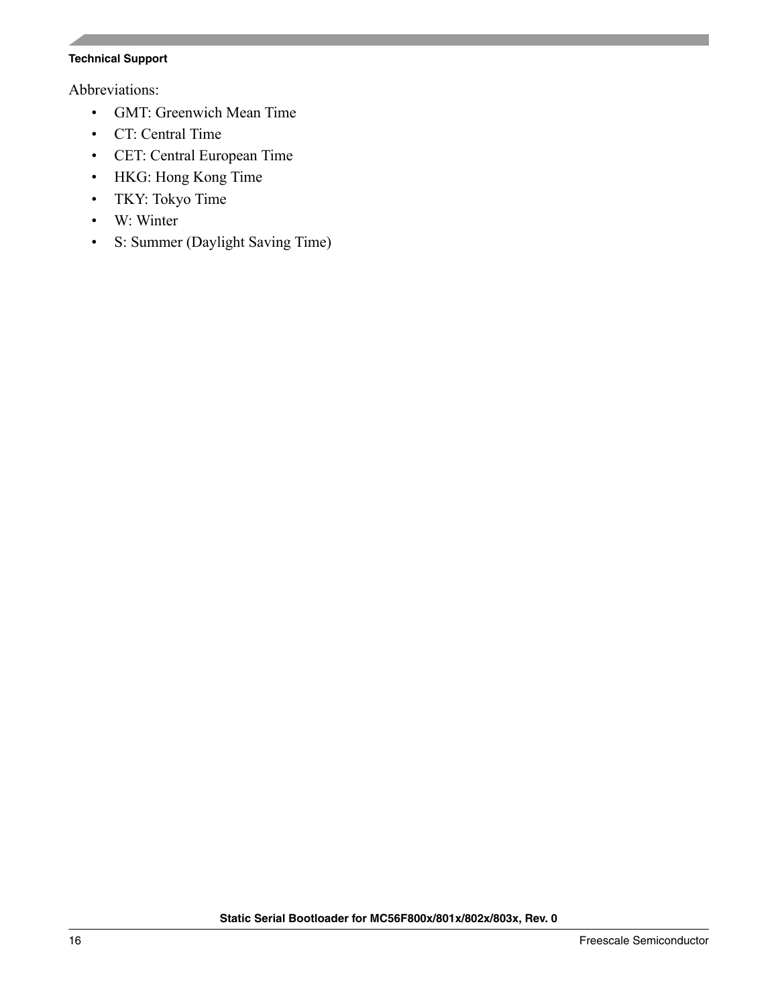### **Technical Support**

Abbreviations:

- GMT: Greenwich Mean Time
- CT: Central Time
- CET: Central European Time
- HKG: Hong Kong Time
- TKY: Tokyo Time
- W: Winter
- S: Summer (Daylight Saving Time)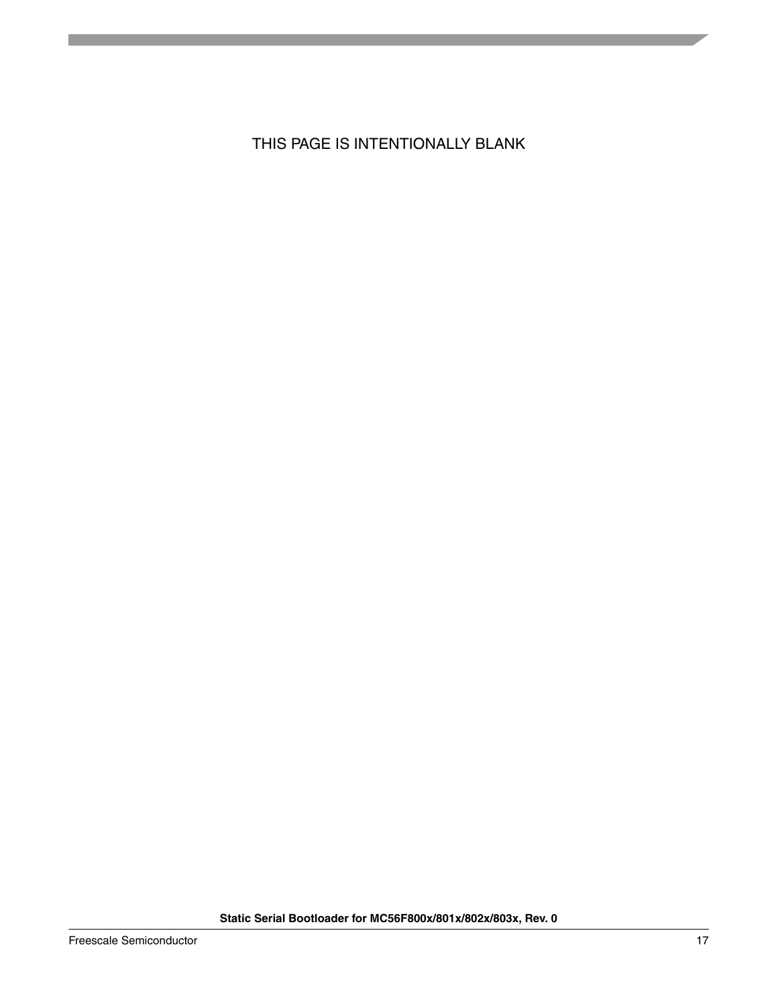THIS PAGE IS INTENTIONALLY BLANK